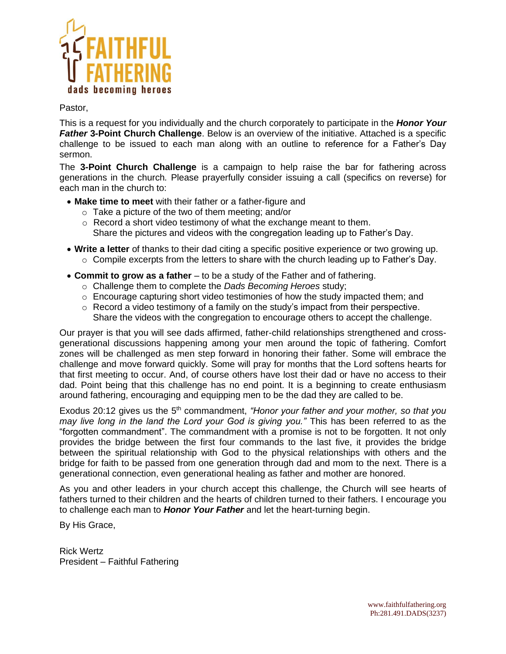

#### Pastor,

This is a request for you individually and the church corporately to participate in the *Honor Your Father* **3-Point Church Challenge**. Below is an overview of the initiative. Attached is a specific challenge to be issued to each man along with an outline to reference for a Father's Day sermon.

The **3-Point Church Challenge** is a campaign to help raise the bar for fathering across generations in the church*.* Please prayerfully consider issuing a call (specifics on reverse) for each man in the church to:

- **Make time to meet** with their father or a father-figure and
	- o Take a picture of the two of them meeting; and/or
	- o Record a short video testimony of what the exchange meant to them. Share the pictures and videos with the congregation leading up to Father's Day.
- **Write a letter** of thanks to their dad citing a specific positive experience or two growing up.  $\circ$  Compile excerpts from the letters to share with the church leading up to Father's Day.
- **Commit to grow as a father** to be a study of the Father and of fathering.
	- o Challenge them to complete the *Dads Becoming Heroes* study;
	- $\circ$  Encourage capturing short video testimonies of how the study impacted them; and
	- $\circ$  Record a video testimony of a family on the study's impact from their perspective. Share the videos with the congregation to encourage others to accept the challenge.

Our prayer is that you will see dads affirmed, father-child relationships strengthened and crossgenerational discussions happening among your men around the topic of fathering. Comfort zones will be challenged as men step forward in honoring their father. Some will embrace the challenge and move forward quickly. Some will pray for months that the Lord softens hearts for that first meeting to occur. And, of course others have lost their dad or have no access to their dad. Point being that this challenge has no end point. It is a beginning to create enthusiasm around fathering, encouraging and equipping men to be the dad they are called to be.

Exodus 20:12 gives us the 5<sup>th</sup> commandment, *"Honor your father and your mother, so that you may live long in the land the Lord your God is giving you."* This has been referred to as the "forgotten commandment". The commandment with a promise is not to be forgotten. It not only provides the bridge between the first four commands to the last five, it provides the bridge between the spiritual relationship with God to the physical relationships with others and the bridge for faith to be passed from one generation through dad and mom to the next. There is a generational connection, even generational healing as father and mother are honored.

As you and other leaders in your church accept this challenge, the Church will see hearts of fathers turned to their children and the hearts of children turned to their fathers. I encourage you to challenge each man to *Honor Your Father* and let the heart-turning begin.

By His Grace,

Rick Wertz President – Faithful Fathering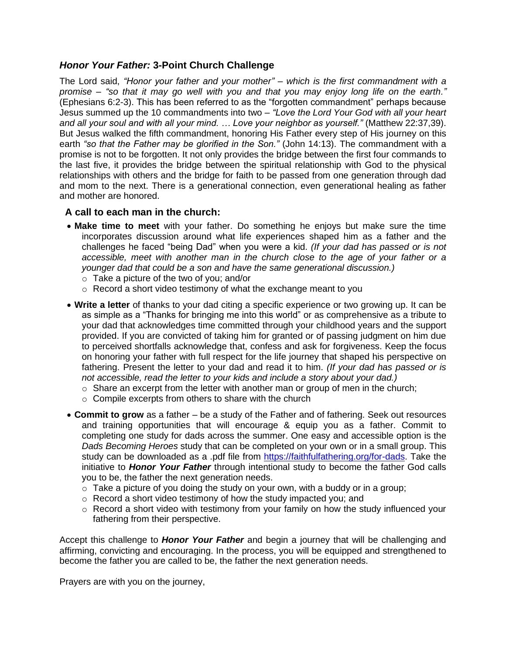# *Honor Your Father:* **3-Point Church Challenge**

The Lord said, *"Honor your father and your mother" – which is the first commandment with a promise – "so that it may go well with you and that you may enjoy long life on the earth."* (Ephesians 6:2-3). This has been referred to as the "forgotten commandment" perhaps because Jesus summed up the 10 commandments into two – *"Love the Lord Your God with all your heart and all your soul and with all your mind. … Love your neighbor as yourself."* (Matthew 22:37,39). But Jesus walked the fifth commandment, honoring His Father every step of His journey on this earth *"so that the Father may be glorified in the Son."* (John 14:13). The commandment with a promise is not to be forgotten. It not only provides the bridge between the first four commands to the last five, it provides the bridge between the spiritual relationship with God to the physical relationships with others and the bridge for faith to be passed from one generation through dad and mom to the next. There is a generational connection, even generational healing as father and mother are honored.

# **A call to each man in the church:**

- **Make time to meet** with your father. Do something he enjoys but make sure the time incorporates discussion around what life experiences shaped him as a father and the challenges he faced "being Dad" when you were a kid. *(If your dad has passed or is not accessible, meet with another man in the church close to the age of your father or a younger dad that could be a son and have the same generational discussion.)*
	- o Take a picture of the two of you; and/or
	- o Record a short video testimony of what the exchange meant to you
- **Write a letter** of thanks to your dad citing a specific experience or two growing up. It can be as simple as a "Thanks for bringing me into this world" or as comprehensive as a tribute to your dad that acknowledges time committed through your childhood years and the support provided. If you are convicted of taking him for granted or of passing judgment on him due to perceived shortfalls acknowledge that, confess and ask for forgiveness. Keep the focus on honoring your father with full respect for the life journey that shaped his perspective on fathering. Present the letter to your dad and read it to him. *(If your dad has passed or is not accessible, read the letter to your kids and include a story about your dad.)*
	- $\circ$  Share an excerpt from the letter with another man or group of men in the church;
	- $\circ$  Compile excerpts from others to share with the church
- **Commit to grow** as a father be a study of the Father and of fathering. Seek out resources and training opportunities that will encourage & equip you as a father. Commit to completing one study for dads across the summer. One easy and accessible option is the *Dads Becoming Heroes* study that can be completed on your own or in a small group. This study can be downloaded as a .pdf file from [https://faithfulfathering.org/for-dads.](https://faithfulfathering.org/for-dads) Take the initiative to *Honor Your Father* through intentional study to become the father God calls you to be, the father the next generation needs.
	- $\circ$  Take a picture of you doing the study on your own, with a buddy or in a group;
	- $\circ$  Record a short video testimony of how the study impacted you; and
	- o Record a short video with testimony from your family on how the study influenced your fathering from their perspective.

Accept this challenge to *Honor Your Father* and begin a journey that will be challenging and affirming, convicting and encouraging. In the process, you will be equipped and strengthened to become the father you are called to be, the father the next generation needs.

Prayers are with you on the journey,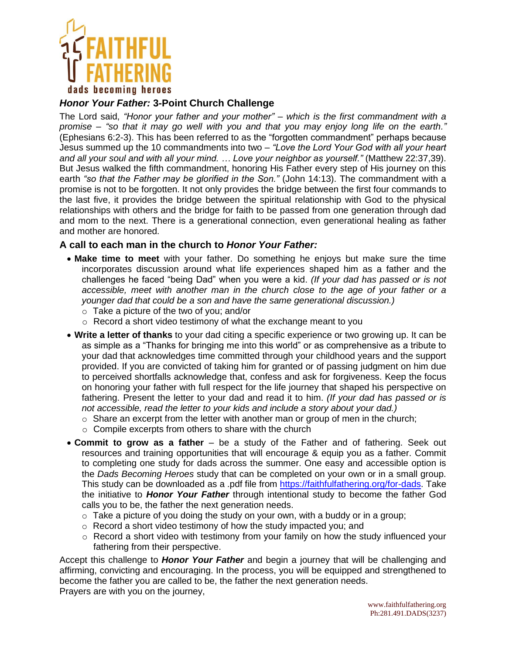

# *Honor Your Father:* **3-Point Church Challenge**

The Lord said, *"Honor your father and your mother" – which is the first commandment with a promise – "so that it may go well with you and that you may enjoy long life on the earth."* (Ephesians 6:2-3). This has been referred to as the "forgotten commandment" perhaps because Jesus summed up the 10 commandments into two – *"Love the Lord Your God with all your heart and all your soul and with all your mind. … Love your neighbor as yourself."* (Matthew 22:37,39). But Jesus walked the fifth commandment, honoring His Father every step of His journey on this earth *"so that the Father may be glorified in the Son."* (John 14:13). The commandment with a promise is not to be forgotten. It not only provides the bridge between the first four commands to the last five, it provides the bridge between the spiritual relationship with God to the physical relationships with others and the bridge for faith to be passed from one generation through dad and mom to the next. There is a generational connection, even generational healing as father and mother are honored.

# **A call to each man in the church to** *Honor Your Father:*

- **Make time to meet** with your father. Do something he enjoys but make sure the time incorporates discussion around what life experiences shaped him as a father and the challenges he faced "being Dad" when you were a kid. *(If your dad has passed or is not accessible, meet with another man in the church close to the age of your father or a younger dad that could be a son and have the same generational discussion.)*
	- o Take a picture of the two of you; and/or
	- o Record a short video testimony of what the exchange meant to you
- **Write a letter of thanks** to your dad citing a specific experience or two growing up. It can be as simple as a "Thanks for bringing me into this world" or as comprehensive as a tribute to your dad that acknowledges time committed through your childhood years and the support provided. If you are convicted of taking him for granted or of passing judgment on him due to perceived shortfalls acknowledge that, confess and ask for forgiveness. Keep the focus on honoring your father with full respect for the life journey that shaped his perspective on fathering. Present the letter to your dad and read it to him. *(If your dad has passed or is not accessible, read the letter to your kids and include a story about your dad.)*
	- $\circ$  Share an excerpt from the letter with another man or group of men in the church;
	- o Compile excerpts from others to share with the church
- **Commit to grow as a father** be a study of the Father and of fathering. Seek out resources and training opportunities that will encourage & equip you as a father. Commit to completing one study for dads across the summer. One easy and accessible option is the *Dads Becoming Heroes* study that can be completed on your own or in a small group. This study can be downloaded as a .pdf file from [https://faithfulfathering.org/for-dads.](https://faithfulfathering.org/for-dads) Take the initiative to *Honor Your Father* through intentional study to become the father God calls you to be, the father the next generation needs.
	- $\circ$  Take a picture of you doing the study on your own, with a buddy or in a group;
	- o Record a short video testimony of how the study impacted you; and
	- $\circ$  Record a short video with testimony from your family on how the study influenced your fathering from their perspective.

Accept this challenge to *Honor Your Father* and begin a journey that will be challenging and affirming, convicting and encouraging. In the process, you will be equipped and strengthened to become the father you are called to be, the father the next generation needs. Prayers are with you on the journey,